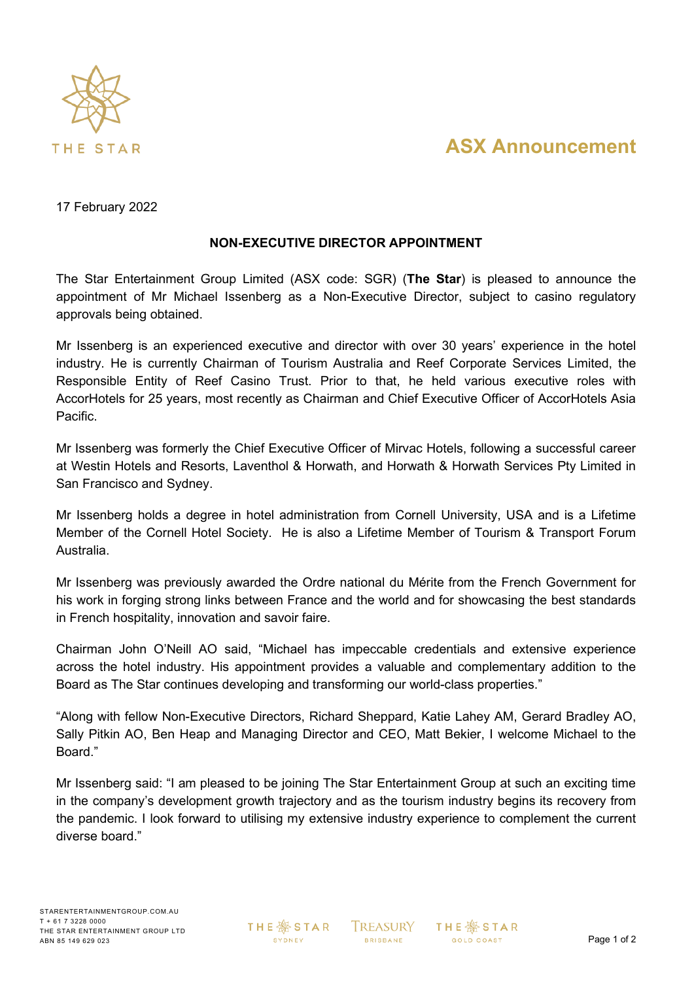

# **ASX Announcement**

### 17 February 2022

#### **NON-EXECUTIVE DIRECTOR APPOINTMENT**

The Star Entertainment Group Limited (ASX code: SGR) (**The Star**) is pleased to announce the appointment of Mr Michael Issenberg as a Non-Executive Director, subject to casino regulatory approvals being obtained.

Mr Issenberg is an experienced executive and director with over 30 years' experience in the hotel industry. He is currently Chairman of Tourism Australia and Reef Corporate Services Limited, the Responsible Entity of Reef Casino Trust. Prior to that, he held various executive roles with AccorHotels for 25 years, most recently as Chairman and Chief Executive Officer of AccorHotels Asia Pacific.

Mr Issenberg was formerly the Chief Executive Officer of Mirvac Hotels, following a successful career at Westin Hotels and Resorts, Laventhol & Horwath, and Horwath & Horwath Services Pty Limited in San Francisco and Sydney.

Mr Issenberg holds a degree in hotel administration from Cornell University, USA and is a Lifetime Member of the Cornell Hotel Society. He is also a Lifetime Member of Tourism & Transport Forum Australia.

Mr Issenberg was previously awarded the Ordre national du Mérite from the French Government for his work in forging strong links between France and the world and for showcasing the best standards in French hospitality, innovation and savoir faire.

Chairman John O'Neill AO said, "Michael has impeccable credentials and extensive experience across the hotel industry. His appointment provides a valuable and complementary addition to the Board as The Star continues developing and transforming our world-class properties."

"Along with fellow Non-Executive Directors, Richard Sheppard, Katie Lahey AM, Gerard Bradley AO, Sally Pitkin AO, Ben Heap and Managing Director and CEO, Matt Bekier, I welcome Michael to the Board."

Mr Issenberg said: "I am pleased to be joining The Star Entertainment Group at such an exciting time in the company's development growth trajectory and as the tourism industry begins its recovery from the pandemic. I look forward to utilising my extensive industry experience to complement the current diverse board."

**THE ※STAR** SYDNEY

**TREASURY BRISBANE** 

**THE ※STAR GOLD COAST**